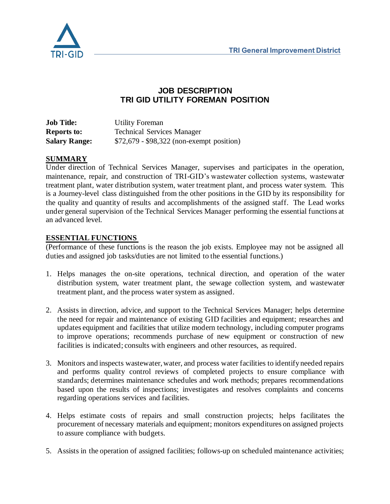

## **JOB DESCRIPTION TRI GID UTILITY FOREMAN POSITION**

| <b>Job Title:</b>    | Utility Foreman                           |
|----------------------|-------------------------------------------|
| <b>Reports to:</b>   | <b>Technical Services Manager</b>         |
| <b>Salary Range:</b> | \$72,679 - \$98,322 (non-exempt position) |

#### **SUMMARY**

Under direction of Technical Services Manager, supervises and participates in the operation, maintenance, repair, and construction of TRI-GID's wastewater collection systems, wastewater treatment plant, water distribution system, water treatment plant, and process water system. This is a Journey-level class distinguished from the other positions in the GID by its responsibility for the quality and quantity of results and accomplishments of the assigned staff. The Lead works under general supervision of the Technical Services Manager performing the essential functions at an advanced level.

#### **ESSENTIAL FUNCTIONS**

(Performance of these functions is the reason the job exists. Employee may not be assigned all duties and assigned job tasks/duties are not limited to the essential functions.)

- 1. Helps manages the on-site operations, technical direction, and operation of the water distribution system, water treatment plant, the sewage collection system, and wastewater treatment plant, and the process water system as assigned.
- 2. Assists in direction, advice, and support to the Technical Services Manager; helps determine the need for repair and maintenance of existing GID facilities and equipment; researches and updates equipment and facilities that utilize modern technology, including computer programs to improve operations; recommends purchase of new equipment or construction of new facilities is indicated; consults with engineers and other resources, as required.
- 3. Monitors and inspects wastewater, water, and process water facilities to identify needed repairs and performs quality control reviews of completed projects to ensure compliance with standards; determines maintenance schedules and work methods; prepares recommendations based upon the results of inspections; investigates and resolves complaints and concerns regarding operations services and facilities.
- 4. Helps estimate costs of repairs and small construction projects; helps facilitates the procurement of necessary materials and equipment; monitors expenditures on assigned projects to assure compliance with budgets.
- 5. Assists in the operation of assigned facilities; follows-up on scheduled maintenance activities;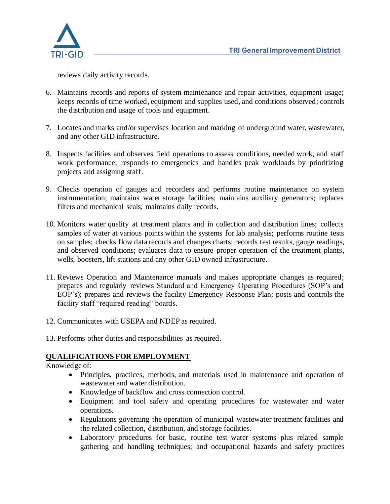

reviews daily activity records.

- 6. Maintains records and reports of system maintenance and repair activities, equipment usage; keeps records of time worked, equipment and supplies used, and conditions observed; controls the distribution and usage of tools and equipment.
- 7. Locates and marks and/or supervises location and marking of underground water, wastewater, and any other GID infrastructure.
- 8. Inspects facilities and observes field operations to assess conditions, needed work, and staff work performance; responds to emergencies and handles peak workloads by prioritizing projects and assigning staff.
- 9. Checks operation of gauges and recorders and performs routine maintenance on system instrumentation; maintains water storage facilities; maintains auxiliary generators; replaces filters and mechanical seals; maintains daily records.
- 10. Monitors water quality at treatment plants and in collection and distribution lines; collects samples of water at various points within the systems for lab analysis; performs routine tests on samples; checks flow data records and changes charts; records test results, gauge readings, and observed conditions; evaluates data to ensure proper operation of the treatment plants, wells, boosters, lift stations and any other GID owned infrastructure.
- 11. Reviews Operation and Maintenance manuals and makes appropriate changes as required; prepares and regularly reviews Standard and Emergency Operating Procedures (SOP's and EOP's); prepares and reviews the facility Emergency Response Plan; posts and controls the facility staff "required reading" boards.
- 12. Communicates with USEPA and NDEP as required.
- 13. Performs other duties and responsibilities as required.

#### **QUALIFICATIONS FOR EMPLOYMENT**

Knowledge of:

- Principles, practices, methods, and materials used in maintenance and operation of wastewater and water distribution.
- Knowledge of backflow and cross connection control.
- Equipment and tool safety and operating procedures for wastewater and water operations.
- Regulations governing the operation of municipal wastewater treatment facilities and the related collection, distribution, and storage facilities.
- Laboratory procedures for basic, routine test water systems plus related sample gathering and handling techniques; and occupational hazards and safety practices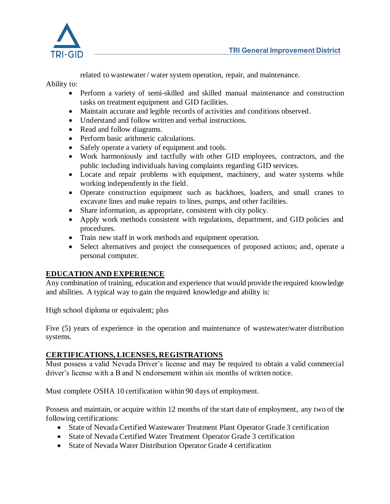

related to wastewater / water system operation, repair, and maintenance.

#### Ability to:

- Perform a variety of semi-skilled and skilled manual maintenance and construction tasks on treatment equipment and GID facilities.
- Maintain accurate and legible records of activities and conditions observed.
- Understand and follow written and verbal instructions.
- Read and follow diagrams.
- Perform basic arithmetic calculations.
- Safely operate a variety of equipment and tools.
- Work harmoniously and tactfully with other GID employees, contractors, and the public including individuals having complaints regarding GID services.
- Locate and repair problems with equipment, machinery, and water systems while working independently in the field.
- Operate construction equipment such as backhoes, loaders, and small cranes to excavate lines and make repairs to lines, pumps, and other facilities.
- Share information, as appropriate, consistent with city policy.
- Apply work methods consistent with regulations, department, and GID policies and procedures.
- Train new staff in work methods and equipment operation.
- Select alternatives and project the consequences of proposed actions; and, operate a personal computer.

## **EDUCATION AND EXPERIENCE**

Any combination of training, education and experience that would provide the required knowledge and abilities. A typical way to gain the required knowledge and ability is:

High school diploma or equivalent; plus

Five (5) years of experience in the operation and maintenance of wastewater/water distribution systems.

## **CERTIFICATIONS, LICENSES, REGISTRATIONS**

Must possess a valid Nevada Driver's license and may be required to obtain a valid commercial driver's license with a B and N endorsement within six months of written notice.

Must complete OSHA 10 certification within 90 days of employment.

Possess and maintain, or acquire within 12 months of the start date of employment, any two of the following certifications:

- State of Nevada Certified Wastewater Treatment Plant Operator Grade 3 certification
- State of Nevada Certified Water Treatment Operator Grade 3 certification
- State of Nevada Water Distribution Operator Grade 4 certification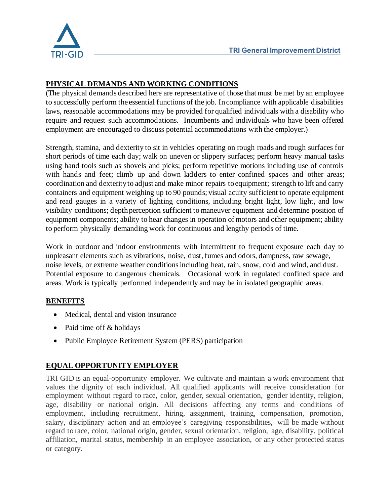

# **PHYSICAL DEMANDS AND WORKING CONDITIONS**

(The physical demands described here are representative of those that must be met by an employee to successfully perform the essential functions of the job. In compliance with applicable disabilities laws, reasonable accommodations may be provided for qualified individuals with a disability who require and request such accommodations. Incumbents and individuals who have been offered employment are encouraged to discuss potential accommodations with the employer.)

Strength, stamina, and dexterity to sit in vehicles operating on rough roads and rough surfaces for short periods of time each day; walk on uneven or slippery surfaces; perform heavy manual tasks using hand tools such as shovels and picks; perform repetitive motions including use of controls with hands and feet; climb up and down ladders to enter confined spaces and other areas; coordination and dexterity to adjust and make minor repairs to equipment; strength to lift and carry containers and equipment weighing up to 90 pounds; visual acuity sufficient to operate equipment and read gauges in a variety of lighting conditions, including bright light, low light, and low visibility conditions; depth perception sufficient to maneuver equipment and determine position of equipment components; ability to hear changes in operation of motors and other equipment; ability to perform physically demanding work for continuous and lengthy periods of time.

Work in outdoor and indoor environments with intermittent to frequent exposure each day to unpleasant elements such as vibrations, noise, dust, fumes and odors, dampness, raw sewage, noise levels, or extreme weather conditions including heat, rain, snow, cold and wind, and dust. Potential exposure to dangerous chemicals. Occasional work in regulated confined space and areas. Work is typically performed independently and may be in isolated geographic areas.

## **BENEFITS**

- Medical, dental and vision insurance
- Paid time off & holidays
- Public Employee Retirement System (PERS) participation

# **EQUAL OPPORTUNITY EMPLOYER**

TRI GID is an equal-opportunity employer. We cultivate and maintain a work environment that values the dignity of each individual. All qualified applicants will receive consideration for employment without regard to race, color, gender, sexual orientation, gender identity, religion, age, disability or national origin. All decisions affecting any terms and conditions of employment, including recruitment, hiring, assignment, training, compensation, promotion, salary, disciplinary action and an employee's caregiving responsibilities, will be made without regard to race, color, national origin, gender, sexual orientation, religion, age, disability, political affiliation, marital status, membership in an employee association, or any other protected status or category.